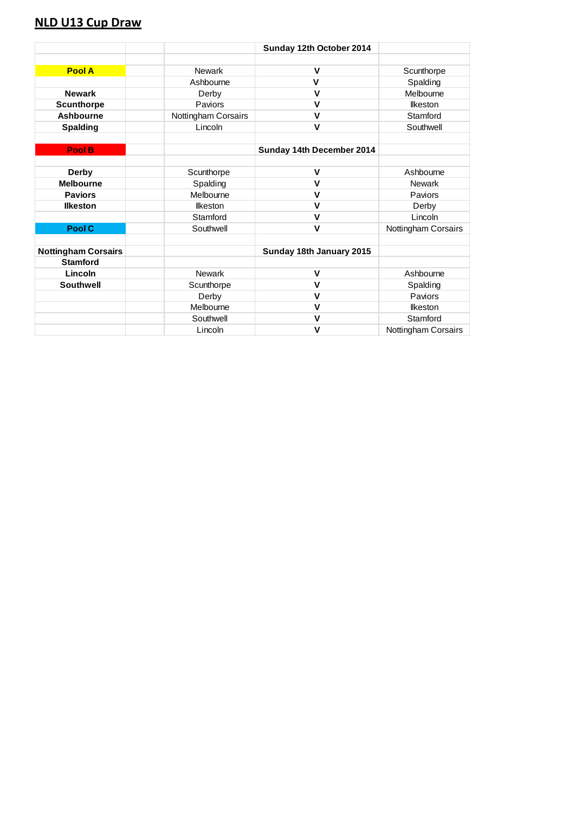## **NLD U13 Cup Draw**

|                            |                     | Sunday 12th October 2014  |                     |
|----------------------------|---------------------|---------------------------|---------------------|
|                            |                     |                           |                     |
| <b>Pool A</b>              | <b>Newark</b>       | V                         | Scunthorpe          |
|                            | Ashbourne           | $\mathbf v$               | Spalding            |
| <b>Newark</b>              | Derby               | $\mathbf v$               | Melbourne           |
| <b>Scunthorpe</b>          | Paviors             | V                         | <b>Ikeston</b>      |
| <b>Ashbourne</b>           | Nottingham Corsairs | $\mathbf v$               | Stamford            |
| <b>Spalding</b>            | Lincoln             | $\mathsf{V}$              | Southwell           |
|                            |                     |                           |                     |
| <b>Pool B</b>              |                     | Sunday 14th December 2014 |                     |
|                            |                     |                           |                     |
| Derby                      | Scunthorpe          | $\mathbf v$               | Ashbourne           |
| <b>Melbourne</b>           | Spalding            | $\mathbf v$               | <b>Newark</b>       |
| <b>Paviors</b>             | Melbourne           | v                         | Paviors             |
| <b>Ilkeston</b>            | <b>Ikeston</b>      | $\mathsf{V}$              | Derby               |
|                            | Stamford            | $\mathbf v$               | Lincoln             |
| Pool C                     | Southwell           | $\mathbf v$               | Nottingham Corsairs |
|                            |                     |                           |                     |
| <b>Nottingham Corsairs</b> |                     | Sunday 18th January 2015  |                     |
| <b>Stamford</b>            |                     |                           |                     |
| Lincoln                    | <b>Newark</b>       | $\mathbf v$               | Ashbourne           |
| <b>Southwell</b>           | Scunthorpe          | $\mathbf v$               | Spalding            |
|                            | Derby               | $\mathbf v$               | Paviors             |
|                            | Melbourne           | $\mathbf v$               | <b>Ikeston</b>      |
|                            | Southwell           | $\mathbf v$               | Stamford            |
|                            | Lincoln             | V                         | Nottingham Corsairs |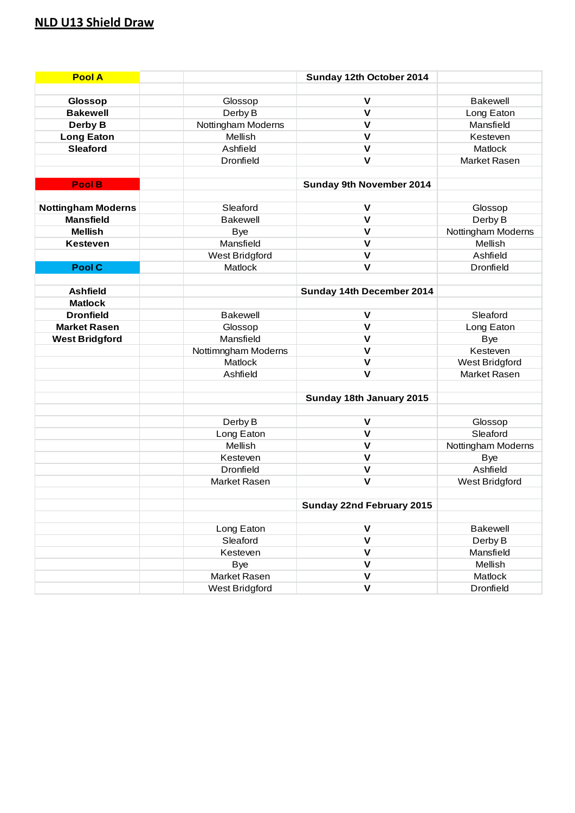# **NLD U13 Shield Draw**

| <b>Pool A</b>                      |                         | Sunday 12th October 2014  |                               |
|------------------------------------|-------------------------|---------------------------|-------------------------------|
|                                    |                         |                           |                               |
| <b>Glossop</b>                     | Glossop                 | V                         | <b>Bakewell</b>               |
| <b>Bakewell</b>                    | Derby B                 | $\mathsf{V}$              | Long Eaton                    |
| Derby B                            | Nottingham Moderns      | $\mathbf v$               | Mansfield                     |
| <b>Long Eaton</b>                  | Mellish                 | $\mathbf v$               | Kesteven                      |
| <b>Sleaford</b>                    | Ashfield                | $\mathbf{V}$              | Matlock                       |
|                                    | <b>Dronfield</b>        | $\mathbf{V}$              | Market Rasen                  |
|                                    |                         |                           |                               |
| Pool B                             |                         | Sunday 9th November 2014  |                               |
|                                    | Sleaford                | $\mathsf{V}$              |                               |
| <b>Nottingham Moderns</b>          |                         | $\mathbf{V}$              | Glossop                       |
| <b>Mansfield</b><br><b>Mellish</b> | <b>Bakewell</b>         | $\mathsf{V}$              | Derby B                       |
|                                    | <b>Bye</b><br>Mansfield | $\mathsf{V}$              | Nottingham Moderns<br>Mellish |
| <b>Kesteven</b>                    |                         | $\mathsf{V}$              |                               |
|                                    | <b>West Bridgford</b>   |                           | Ashfield                      |
| Pool C                             | Matlock                 | $\mathsf{V}$              | Dronfield                     |
|                                    |                         |                           |                               |
| <b>Ashfield</b>                    |                         | Sunday 14th December 2014 |                               |
| <b>Matlock</b>                     |                         |                           |                               |
| <b>Dronfield</b>                   | <b>Bakewell</b>         | $\mathbf v$               | Sleaford                      |
| <b>Market Rasen</b>                | Glossop                 | $\mathsf{V}$              | Long Eaton                    |
| <b>West Bridgford</b>              | Mansfield               | $\mathbf v$               | <b>Bye</b>                    |
|                                    | Nottimngham Moderns     | $\mathbf v$               | Kesteven                      |
|                                    | Matlock                 | $\mathbf v$               | <b>West Bridgford</b>         |
|                                    | Ashfield                | $\mathbf{V}$              | Market Rasen                  |
|                                    |                         |                           |                               |
|                                    |                         | Sunday 18th January 2015  |                               |
|                                    |                         | $\mathsf{V}$              |                               |
|                                    | Derby B                 | $\mathsf{V}$              | Glossop                       |
|                                    | Long Eaton<br>Mellish   | $\mathsf{V}$              | Sleaford                      |
|                                    | Kesteven                | $\mathsf{V}$              | Nottingham Moderns            |
|                                    | Dronfield               | $\mathsf{V}$              | <b>Bye</b><br>Ashfield        |
|                                    | Market Rasen            | $\mathbf v$               |                               |
|                                    |                         |                           | West Bridgford                |
|                                    |                         |                           |                               |
|                                    |                         | Sunday 22nd February 2015 |                               |
|                                    | Long Eaton              | $\mathbf v$               | <b>Bakewell</b>               |
|                                    | Sleaford                | $\mathsf{V}$              | Derby B                       |
|                                    | Kesteven                | $\mathbf V$               |                               |
|                                    |                         | $\mathbf V$               | Mansfield<br>Mellish          |
|                                    | <b>Bye</b>              | $\mathbf V$               |                               |
|                                    | Market Rasen            | $\overline{\mathsf{v}}$   | Matlock                       |
|                                    | <b>West Bridgford</b>   |                           | Dronfield                     |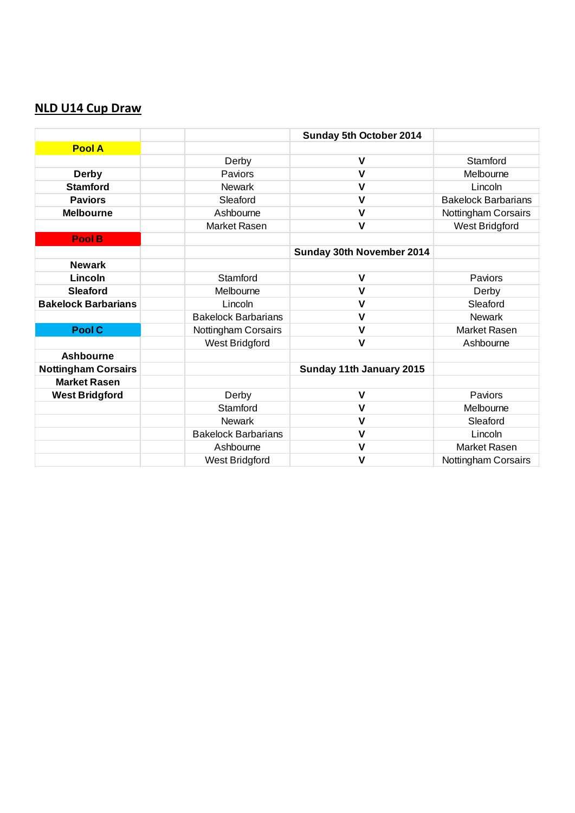## **NLD U14 Cup Draw**

|                            |                            | Sunday 5th October 2014   |                            |
|----------------------------|----------------------------|---------------------------|----------------------------|
| <b>Pool A</b>              |                            |                           |                            |
|                            | Derby                      | $\mathsf{V}$              | Stamford                   |
| <b>Derby</b>               | Paviors                    | $\mathsf{V}$              | Melbourne                  |
| <b>Stamford</b>            | <b>Newark</b>              | $\mathsf{V}$              | Lincoln                    |
| <b>Paviors</b>             | Sleaford                   | $\mathsf{V}$              | <b>Bakelock Barbarians</b> |
| <b>Melbourne</b>           | Ashbourne                  | $\mathsf{V}$              | Nottingham Corsairs        |
|                            | <b>Market Rasen</b>        | $\mathsf{V}$              | West Bridgford             |
| Pool B                     |                            |                           |                            |
|                            |                            | Sunday 30th November 2014 |                            |
| <b>Newark</b>              |                            |                           |                            |
| Lincoln                    | Stamford                   | $\mathsf{V}$              | Paviors                    |
| <b>Sleaford</b>            | Melbourne                  | $\mathsf{V}$              | Derby                      |
| <b>Bakelock Barbarians</b> | Lincoln                    | $\mathsf{V}$              | Sleaford                   |
|                            | <b>Bakelock Barbarians</b> | $\mathsf{V}$              | <b>Newark</b>              |
| Pool C                     | Nottingham Corsairs        | $\mathsf{V}$              | <b>Market Rasen</b>        |
|                            | <b>West Bridgford</b>      | $\mathsf{V}$              | Ashbourne                  |
| <b>Ashbourne</b>           |                            |                           |                            |
| <b>Nottingham Corsairs</b> |                            | Sunday 11th January 2015  |                            |
| <b>Market Rasen</b>        |                            |                           |                            |
| <b>West Bridgford</b>      | Derby                      | $\mathsf{V}$              | Paviors                    |
|                            | Stamford                   | V                         | Melbourne                  |
|                            | <b>Newark</b>              | $\mathsf{V}$              | Sleaford                   |
|                            | <b>Bakelock Barbarians</b> | $\mathsf{V}$              | Lincoln                    |
|                            | Ashbourne                  | $\mathsf{V}$              | <b>Market Rasen</b>        |
|                            | West Bridgford             | V                         | Nottingham Corsairs        |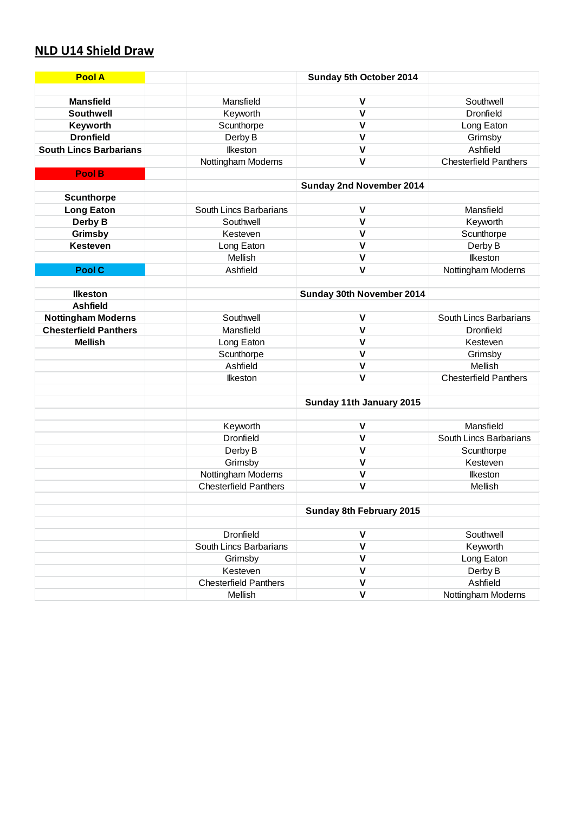# **NLD U14 Shield Draw**

| <b>Pool A</b>                 |                              | Sunday 5th October 2014         |                              |
|-------------------------------|------------------------------|---------------------------------|------------------------------|
|                               |                              |                                 |                              |
| <b>Mansfield</b>              | Mansfield                    | V                               | Southwell                    |
| <b>Southwell</b>              | Keyworth                     | $\mathsf{V}$                    | Dronfield                    |
| Keyworth                      | Scunthorpe                   | $\mathsf{V}$                    | Long Eaton                   |
| <b>Dronfield</b>              | Derby B                      | $\mathsf{V}$                    | Grimsby                      |
| <b>South Lincs Barbarians</b> | <b>Ilkeston</b>              | $\mathsf{V}$                    | Ashfield                     |
|                               | Nottingham Moderns           | $\mathsf{V}$                    | <b>Chesterfield Panthers</b> |
| Pool B                        |                              |                                 |                              |
|                               |                              | Sunday 2nd November 2014        |                              |
| <b>Scunthorpe</b>             |                              |                                 |                              |
| <b>Long Eaton</b>             | South Lincs Barbarians       | $\mathsf{V}$                    | Mansfield                    |
| Derby B                       | Southwell                    | $\mathsf{V}$                    | Keyworth                     |
| Grimsby                       | Kesteven                     | $\mathsf{V}$                    | Scunthorpe                   |
| <b>Kesteven</b>               | Long Eaton                   | $\mathsf{V}$                    | Derby B                      |
|                               | Mellish                      | $\mathsf{V}$                    | <b>Ilkeston</b>              |
| Pool C                        | Ashfield                     | $\mathsf{V}$                    | Nottingham Moderns           |
|                               |                              |                                 |                              |
| <b>Ilkeston</b>               |                              | Sunday 30th November 2014       |                              |
| <b>Ashfield</b>               |                              |                                 |                              |
| <b>Nottingham Moderns</b>     | Southwell                    | $\mathsf{V}$                    | South Lincs Barbarians       |
| <b>Chesterfield Panthers</b>  | Mansfield                    | $\mathsf{V}$                    | <b>Dronfield</b>             |
| <b>Mellish</b>                | Long Eaton                   | $\mathsf{V}$                    | Kesteven                     |
|                               | Scunthorpe                   | $\mathsf{V}$                    | Grimsby                      |
|                               | Ashfield                     | $\mathsf{V}$                    | Mellish                      |
|                               | <b>Ilkeston</b>              | $\mathsf{V}$                    | <b>Chesterfield Panthers</b> |
|                               |                              |                                 |                              |
|                               |                              | Sunday 11th January 2015        |                              |
|                               |                              |                                 |                              |
|                               | Keyworth                     | V                               | Mansfield                    |
|                               | Dronfield                    | $\mathsf{V}$                    | South Lincs Barbarians       |
|                               | Derby B                      | $\mathsf{V}$                    | Scunthorpe                   |
|                               | Grimsby                      | $\mathsf{V}$                    | Kesteven                     |
|                               | Nottingham Moderns           | $\mathsf{V}$                    | <b>Ilkeston</b>              |
|                               | <b>Chesterfield Panthers</b> | $\mathsf{V}$                    | Mellish                      |
|                               |                              |                                 |                              |
|                               |                              | <b>Sunday 8th February 2015</b> |                              |
|                               |                              |                                 |                              |
|                               | Dronfield                    | V                               | Southwell                    |
|                               | South Lincs Barbarians       | $\mathsf{V}$                    | Keyworth                     |
|                               | Grimsby                      | V                               | Long Eaton                   |
|                               | Kesteven                     | $\mathsf{V}$                    | Derby B                      |
|                               | <b>Chesterfield Panthers</b> | $\mathsf{V}$                    | Ashfield                     |
|                               | Mellish                      | $\mathsf{V}$                    | Nottingham Moderns           |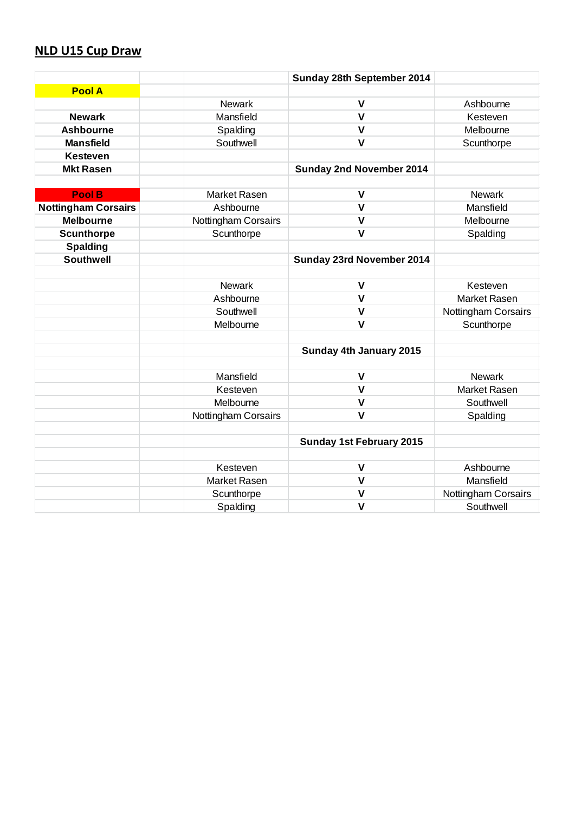## **NLD U15 Cup Draw**

|                            |                     | Sunday 28th September 2014      |                     |
|----------------------------|---------------------|---------------------------------|---------------------|
| <b>Pool A</b>              |                     |                                 |                     |
|                            | <b>Newark</b>       | V                               | Ashbourne           |
| <b>Newark</b>              | Mansfield           | $\mathsf{V}$                    | Kesteven            |
| <b>Ashbourne</b>           | Spalding            | $\mathsf{V}$                    | Melbourne           |
| <b>Mansfield</b>           | Southwell           | $\mathsf{V}$                    | Scunthorpe          |
| <b>Kesteven</b>            |                     |                                 |                     |
| <b>Mkt Rasen</b>           |                     | <b>Sunday 2nd November 2014</b> |                     |
|                            |                     |                                 |                     |
| Pool B                     | <b>Market Rasen</b> | $\mathsf{V}$                    | <b>Newark</b>       |
| <b>Nottingham Corsairs</b> | Ashbourne           | $\mathsf{V}$                    | Mansfield           |
| <b>Melbourne</b>           | Nottingham Corsairs | $\mathsf{V}$                    | Melbourne           |
| <b>Scunthorpe</b>          | Scunthorpe          | $\mathbf v$                     | Spalding            |
| <b>Spalding</b>            |                     |                                 |                     |
| <b>Southwell</b>           |                     | Sunday 23rd November 2014       |                     |
|                            |                     |                                 |                     |
|                            | <b>Newark</b>       | $\mathsf{V}$                    | Kesteven            |
|                            | Ashbourne           | $\mathbf v$                     | <b>Market Rasen</b> |
|                            | Southwell           | $\mathbf v$                     | Nottingham Corsairs |
|                            | Melbourne           | $\mathsf{V}$                    | Scunthorpe          |
|                            |                     |                                 |                     |
|                            |                     | Sunday 4th January 2015         |                     |
|                            |                     |                                 |                     |
|                            | Mansfield           | $\mathbf v$                     | <b>Newark</b>       |
|                            | Kesteven            | $\mathsf{V}$                    | <b>Market Rasen</b> |
|                            | Melbourne           | $\mathsf{V}$                    | Southwell           |
|                            | Nottingham Corsairs | $\mathsf{V}$                    | Spalding            |
|                            |                     |                                 |                     |
|                            |                     | <b>Sunday 1st February 2015</b> |                     |
|                            |                     |                                 |                     |
|                            | Kesteven            | $\mathsf{V}$                    | Ashbourne           |
|                            | <b>Market Rasen</b> | $\mathsf{V}$                    | Mansfield           |
|                            | Scunthorpe          | $\mathsf{V}$                    | Nottingham Corsairs |
|                            | Spalding            | $\mathsf{V}$                    | Southwell           |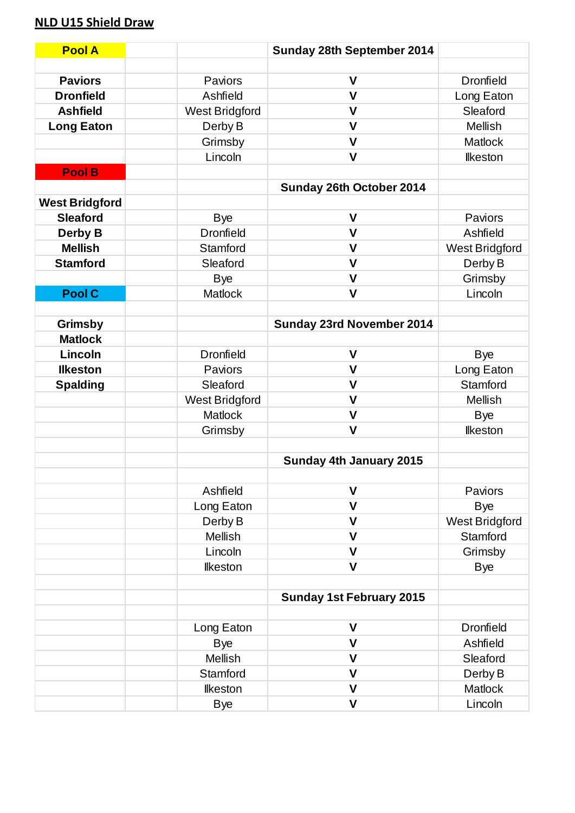# **NLD U15 Shield Draw**

| <b>Pool A</b>         |                       | Sunday 28th September 2014      |                       |
|-----------------------|-----------------------|---------------------------------|-----------------------|
|                       |                       |                                 |                       |
| <b>Paviors</b>        | Paviors               | $\mathsf{V}$                    | <b>Dronfield</b>      |
| <b>Dronfield</b>      | Ashfield              | $\mathsf{V}$                    | Long Eaton            |
| <b>Ashfield</b>       | <b>West Bridgford</b> | $\mathsf{V}$                    | Sleaford              |
| <b>Long Eaton</b>     | Derby B               | $\mathsf{V}$                    | <b>Mellish</b>        |
|                       | Grimsby               | $\mathsf{V}$                    | <b>Matlock</b>        |
|                       | Lincoln               | $\mathsf{V}$                    | <b>Ilkeston</b>       |
| Pool B                |                       |                                 |                       |
|                       |                       | Sunday 26th October 2014        |                       |
| <b>West Bridgford</b> |                       |                                 |                       |
| <b>Sleaford</b>       | <b>Bye</b>            | $\mathsf{V}$                    | Paviors               |
| Derby B               | <b>Dronfield</b>      | $\mathsf{V}$                    | Ashfield              |
| <b>Mellish</b>        | Stamford              | $\mathsf{V}$                    | <b>West Bridgford</b> |
| <b>Stamford</b>       | Sleaford              | $\mathsf{V}$                    | Derby B               |
|                       | <b>Bye</b>            | $\mathsf{V}$                    | Grimsby               |
| <b>Pool C</b>         | <b>Matlock</b>        | $\mathsf{V}$                    | Lincoln               |
|                       |                       |                                 |                       |
| <b>Grimsby</b>        |                       | Sunday 23rd November 2014       |                       |
| <b>Matlock</b>        |                       |                                 |                       |
| Lincoln               | <b>Dronfield</b>      | $\mathsf{V}$                    | <b>Bye</b>            |
| <b>Ilkeston</b>       | Paviors               | $\mathsf{V}$                    | Long Eaton            |
| <b>Spalding</b>       | Sleaford              | $\mathsf{V}$                    | Stamford              |
|                       | <b>West Bridgford</b> | $\mathsf{V}$                    | <b>Mellish</b>        |
|                       | <b>Matlock</b>        | $\mathsf{V}$                    | <b>Bye</b>            |
|                       | Grimsby               | $\mathsf{V}$                    | <b>Ilkeston</b>       |
|                       |                       |                                 |                       |
|                       |                       | <b>Sunday 4th January 2015</b>  |                       |
|                       |                       |                                 |                       |
|                       | Ashfield              | V                               | Paviors               |
|                       | Long Eaton            | $\mathsf{V}$                    | <b>Bye</b>            |
|                       | Derby B               | $\mathsf{V}$                    | <b>West Bridgford</b> |
|                       | <b>Mellish</b>        | $\mathsf{V}$                    | Stamford              |
|                       | Lincoln               | $\mathsf{V}$                    | Grimsby               |
|                       | <b>Ilkeston</b>       | $\mathsf{V}$                    | <b>Bye</b>            |
|                       |                       |                                 |                       |
|                       |                       | <b>Sunday 1st February 2015</b> |                       |
|                       |                       |                                 |                       |
|                       | Long Eaton            | $\mathsf{V}$                    | <b>Dronfield</b>      |
|                       | <b>Bye</b>            | $\mathsf{V}$                    | Ashfield              |
|                       | <b>Mellish</b>        | V                               | Sleaford              |
|                       | Stamford              | $\mathsf{V}$                    | Derby B               |
|                       | <b>Ilkeston</b>       | $\mathsf{V}$                    | Matlock               |
|                       | <b>Bye</b>            | $\mathsf{V}$                    | Lincoln               |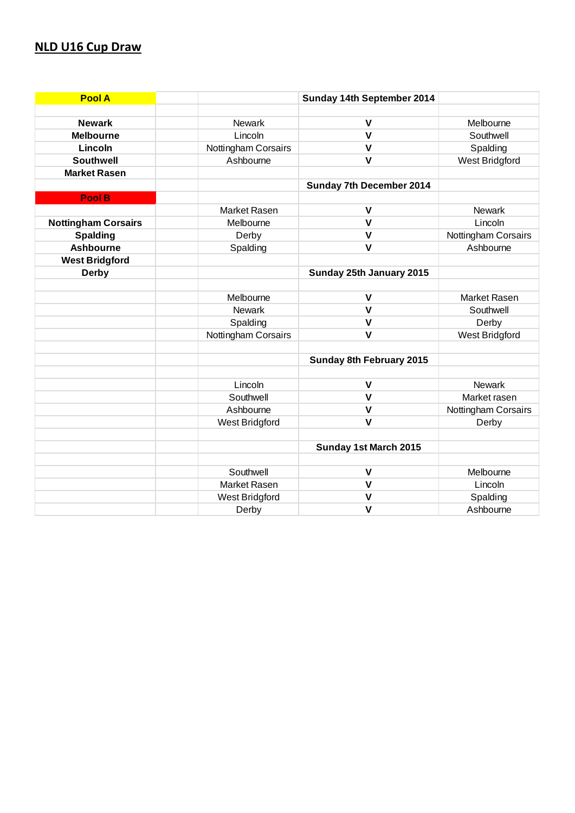#### **NLD U16 Cup Draw**

| <b>Pool A</b>              |                     | Sunday 14th September 2014      |                     |
|----------------------------|---------------------|---------------------------------|---------------------|
|                            |                     |                                 |                     |
| <b>Newark</b>              | <b>Newark</b>       | $\mathsf{V}$                    | Melbourne           |
| <b>Melbourne</b>           | Lincoln             | $\mathsf{V}$                    | Southwell           |
| Lincoln                    | Nottingham Corsairs | $\mathsf{V}$                    | Spalding            |
| <b>Southwell</b>           | Ashbourne           | $\mathsf{V}$                    | West Bridgford      |
| <b>Market Rasen</b>        |                     |                                 |                     |
|                            |                     | <b>Sunday 7th December 2014</b> |                     |
| <b>Pool B</b>              |                     |                                 |                     |
|                            | Market Rasen        | $\mathsf{V}$                    | <b>Newark</b>       |
| <b>Nottingham Corsairs</b> | Melbourne           | $\mathbf v$                     | Lincoln             |
| <b>Spalding</b>            | Derby               | $\mathsf{V}$                    | Nottingham Corsairs |
| <b>Ashbourne</b>           | Spalding            | $\mathbf{V}$                    | Ashbourne           |
| <b>West Bridgford</b>      |                     |                                 |                     |
| <b>Derby</b>               |                     | Sunday 25th January 2015        |                     |
|                            |                     |                                 |                     |
|                            | Melbourne           | $\mathbf v$                     | <b>Market Rasen</b> |
|                            | <b>Newark</b>       | $\mathbf v$                     | Southwell           |
|                            | Spalding            | $\mathbf{V}$                    | Derby               |
|                            | Nottingham Corsairs | $\mathbf{V}$                    | West Bridgford      |
|                            |                     |                                 |                     |
|                            |                     | Sunday 8th February 2015        |                     |
|                            |                     |                                 |                     |
|                            | Lincoln             | $\mathbf v$                     | <b>Newark</b>       |
|                            | Southwell           | $\mathsf{V}$                    | Market rasen        |
|                            | Ashbourne           | $\mathsf{V}$                    | Nottingham Corsairs |
|                            | West Bridgford      | $\mathbf v$                     | Derby               |
|                            |                     |                                 |                     |
|                            |                     | Sunday 1st March 2015           |                     |
|                            |                     |                                 |                     |
|                            | Southwell           | $\mathsf{V}$                    | Melbourne           |
|                            | Market Rasen        | $\mathsf{V}$                    | Lincoln             |
|                            | West Bridgford      | $\mathbf v$                     | Spalding            |
|                            | Derby               | $\mathsf{V}$                    | Ashbourne           |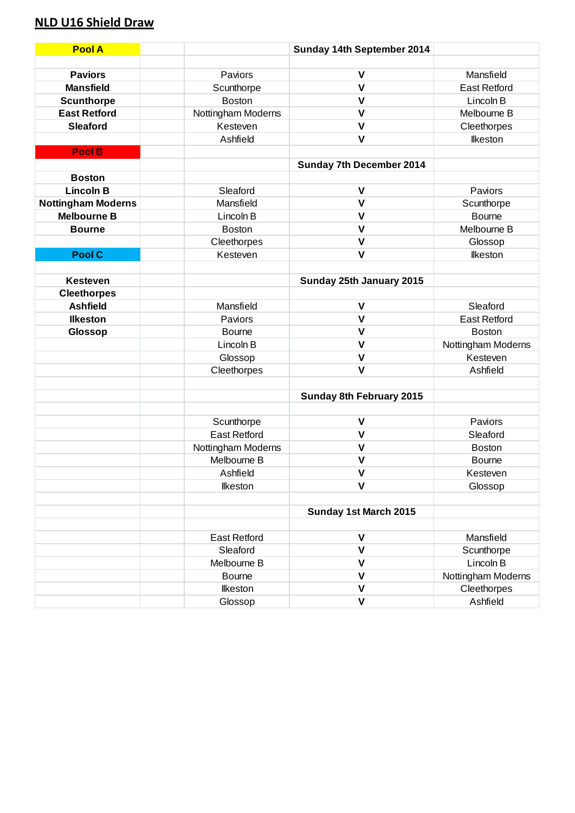# **NLD U16 Shield Draw**

| <b>Pool A</b>             |                     | Sunday 14th September 2014      |                     |
|---------------------------|---------------------|---------------------------------|---------------------|
|                           |                     |                                 |                     |
| <b>Paviors</b>            | Paviors             | $\mathsf{V}$                    | Mansfield           |
| <b>Mansfield</b>          | Scunthorpe          | $\mathsf{V}$                    | <b>East Retford</b> |
| <b>Scunthorpe</b>         | <b>Boston</b>       | $\mathsf{V}$                    | Lincoln B           |
| <b>East Retford</b>       | Nottingham Moderns  | $\mathsf{V}$                    | Melbourne B         |
| <b>Sleaford</b>           | Kesteven            | $\mathsf{V}$                    | Cleethorpes         |
|                           | Ashfield            | $\mathsf{V}$                    | <b>Ilkeston</b>     |
| Pool B                    |                     |                                 |                     |
|                           |                     | Sunday 7th December 2014        |                     |
| <b>Boston</b>             |                     |                                 |                     |
| <b>Lincoln B</b>          | Sleaford            | $\mathsf{V}$                    | Paviors             |
| <b>Nottingham Moderns</b> | Mansfield           | $\mathsf{V}$                    | Scunthorpe          |
| <b>Melbourne B</b>        | Lincoln B           | $\mathsf{V}$                    | <b>Bourne</b>       |
| <b>Bourne</b>             | <b>Boston</b>       | $\mathsf{V}$                    | Melbourne B         |
|                           | Cleethorpes         | $\mathsf{V}$                    | Glossop             |
| <b>Pool C</b>             | Kesteven            | $\mathsf{V}$                    | <b>Ilkeston</b>     |
|                           |                     |                                 |                     |
| <b>Kesteven</b>           |                     | Sunday 25th January 2015        |                     |
| <b>Cleethorpes</b>        |                     |                                 |                     |
| <b>Ashfield</b>           | Mansfield           | $\mathsf{V}$                    | Sleaford            |
| <b>Ilkeston</b>           | Paviors             | $\mathsf{V}$                    | <b>East Retford</b> |
| Glossop                   | <b>Bourne</b>       | $\mathsf{V}$                    | <b>Boston</b>       |
|                           | Lincoln B           | $\mathsf{V}$                    | Nottingham Moderns  |
|                           | Glossop             | $\mathsf{V}$                    | Kesteven            |
|                           | Cleethorpes         | $\mathsf{V}$                    | Ashfield            |
|                           |                     |                                 |                     |
|                           |                     | <b>Sunday 8th February 2015</b> |                     |
|                           |                     |                                 |                     |
|                           | Scunthorpe          | $\mathsf{V}$                    | Paviors             |
|                           | <b>East Retford</b> | $\mathsf{V}$                    | Sleaford            |
|                           | Nottingham Moderns  | $\mathsf{V}$                    | Boston              |
|                           | Melbourne B         | $\mathsf{V}$                    | <b>Bourne</b>       |
|                           | Ashfield            | $\mathbf v$                     | Kesteven            |
|                           | <b>Ilkeston</b>     | $\mathsf{V}$                    | Glossop             |
|                           |                     |                                 |                     |
|                           |                     | Sunday 1st March 2015           |                     |
|                           |                     |                                 |                     |
|                           | <b>East Retford</b> | $\mathsf{V}$                    | Mansfield           |
|                           | Sleaford            | $\mathsf{V}$                    | Scunthorpe          |
|                           | Melbourne B         | $\mathsf{V}$                    | Lincoln B           |
|                           | <b>Bourne</b>       | V                               | Nottingham Moderns  |
|                           | <b>Ilkeston</b>     | V                               | Cleethorpes         |
|                           | Glossop             | $\mathsf{V}$                    | Ashfield            |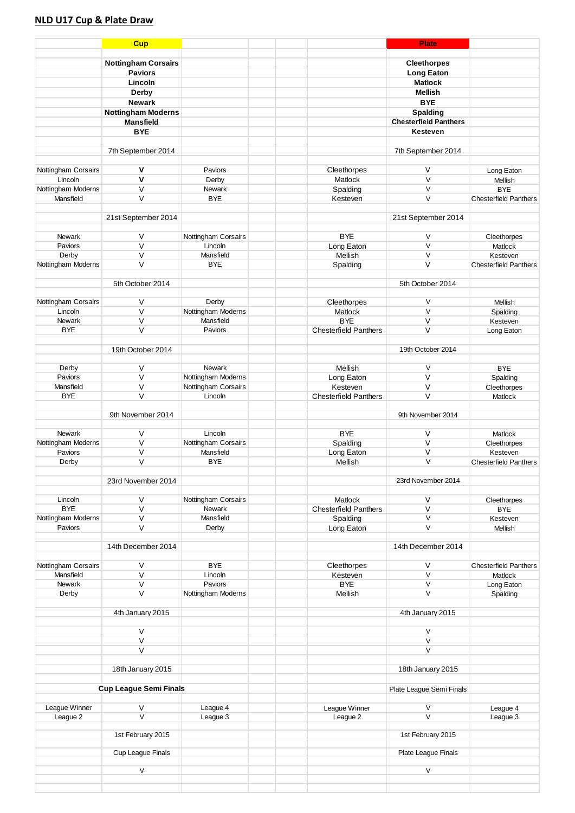#### **NLD U17 Cup & Plate Draw**

|                     | <b>Cup</b>                                   |                      |                              | <b>Plate</b>                        |                                         |
|---------------------|----------------------------------------------|----------------------|------------------------------|-------------------------------------|-----------------------------------------|
|                     |                                              |                      |                              |                                     |                                         |
|                     | <b>Nottingham Corsairs</b><br><b>Paviors</b> |                      |                              | <b>Cleethorpes</b>                  |                                         |
|                     | Lincoln                                      |                      |                              | <b>Long Eaton</b><br><b>Matlock</b> |                                         |
|                     | Derby                                        |                      |                              | <b>Mellish</b>                      |                                         |
|                     | <b>Newark</b>                                |                      |                              | <b>BYE</b>                          |                                         |
|                     | <b>Nottingham Moderns</b>                    |                      |                              | <b>Spalding</b>                     |                                         |
|                     | <b>Mansfield</b>                             |                      |                              | <b>Chesterfield Panthers</b>        |                                         |
|                     | <b>BYE</b>                                   |                      |                              | Kesteven                            |                                         |
|                     |                                              |                      |                              |                                     |                                         |
|                     | 7th September 2014                           |                      |                              | 7th September 2014                  |                                         |
|                     |                                              |                      |                              |                                     |                                         |
| Nottingham Corsairs | ٧                                            | Paviors              | Cleethorpes                  | V                                   | Long Eaton                              |
| Lincoln             | V                                            | Derby                | Matlock                      | $\vee$                              | Mellish                                 |
| Nottingham Moderns  | $\vee$                                       | Newark               | Spalding                     | $\vee$                              | <b>BYE</b>                              |
| Mansfield           | $\vee$                                       | <b>BYE</b>           | Kesteven                     | V                                   | <b>Chesterfield Panthers</b>            |
|                     |                                              |                      |                              |                                     |                                         |
|                     | 21st September 2014                          |                      |                              | 21st September 2014                 |                                         |
|                     |                                              |                      |                              |                                     |                                         |
| Newark              | V                                            | Nottingham Corsairs  | <b>BYE</b>                   | V<br>$\vee$                         | Cleethorpes                             |
| Paviors<br>Derby    | $\vee$<br>V                                  | Lincoln<br>Mansfield | Long Eaton<br>Mellish        | V                                   | Matlock<br>Kesteven                     |
| Nottingham Moderns  | $\vee$                                       | <b>BYE</b>           | Spalding                     | $\vee$                              | <b>Chesterfield Panthers</b>            |
|                     |                                              |                      |                              |                                     |                                         |
|                     | 5th October 2014                             |                      |                              | 5th October 2014                    |                                         |
|                     |                                              |                      |                              |                                     |                                         |
| Nottingham Corsairs | V                                            | Derby                | Cleethorpes                  | V                                   | Mellish                                 |
| Lincoln             | $\vee$                                       | Nottingham Moderns   | <b>Matlock</b>               | $\vee$                              | Spalding                                |
| <b>Newark</b>       | $\vee$                                       | Mansfield            | <b>BYE</b>                   | $\vee$                              | Kesteven                                |
| <b>BYE</b>          | V                                            | Paviors              | <b>Chesterfield Panthers</b> | V                                   | Long Eaton                              |
|                     |                                              |                      |                              |                                     |                                         |
|                     | 19th October 2014                            |                      |                              | 19th October 2014                   |                                         |
|                     | V                                            | <b>Newark</b>        | Mellish                      | V                                   | <b>BYE</b>                              |
| Derby<br>Paviors    | $\vee$                                       | Nottingham Moderns   | Long Eaton                   | $\vee$                              | Spalding                                |
| Mansfield           | V                                            | Nottingham Corsairs  | Kesteven                     | V                                   | Cleethorpes                             |
| <b>BYE</b>          | $\vee$                                       | Lincoln              | <b>Chesterfield Panthers</b> | $\vee$                              | Matlock                                 |
|                     |                                              |                      |                              |                                     |                                         |
|                     | 9th November 2014                            |                      |                              | 9th November 2014                   |                                         |
|                     |                                              |                      |                              |                                     |                                         |
| Newark              | V                                            | Lincoln              | <b>BYE</b>                   | V                                   | Matlock                                 |
| Nottingham Moderns  | $\vee$                                       | Nottingham Corsairs  | Spalding                     | $\vee$                              | Cleethorpes                             |
| Paviors             | V                                            | Mansfield            | Long Eaton                   | V                                   | Kesteven                                |
| Derby               | $\vee$                                       | <b>BYE</b>           | Mellish                      | V                                   | <b>Chesterfield Panthers</b>            |
|                     | 23rd November 2014                           |                      |                              | 23rd November 2014                  |                                         |
|                     |                                              |                      |                              |                                     |                                         |
| Lincoln             | V                                            | Nottingham Corsairs  | Matlock                      | V                                   | Cleethorpes                             |
| <b>BYE</b>          | V                                            | Newark               | <b>Chesterfield Panthers</b> | V                                   | <b>BYE</b>                              |
| Nottingham Moderns  | V                                            | Mansfield            | Spalding                     | V                                   | Kesteven                                |
| Paviors             | V                                            | Derby                | Long Eaton                   | V                                   | Mellish                                 |
|                     |                                              |                      |                              |                                     |                                         |
|                     | 14th December 2014                           |                      |                              | 14th December 2014                  |                                         |
| Nottingham Corsairs |                                              | <b>BYE</b>           |                              |                                     |                                         |
| Mansfield           | $\vee$<br>$\vee$                             | Lincoln              | Cleethorpes<br>Kesteven      | V<br>V                              | <b>Chesterfield Panthers</b><br>Matlock |
| Newark              | V                                            | Paviors              | <b>BYE</b>                   | V                                   | Long Eaton                              |
| Derby               | V                                            | Nottingham Moderns   | Mellish                      | V                                   | Spalding                                |
|                     |                                              |                      |                              |                                     |                                         |
|                     | 4th January 2015                             |                      |                              | 4th January 2015                    |                                         |
|                     |                                              |                      |                              |                                     |                                         |
|                     | V                                            |                      |                              | V                                   |                                         |
|                     | $\mathsf V$                                  |                      |                              | V                                   |                                         |
|                     | V                                            |                      |                              | V                                   |                                         |
|                     | 18th January 2015                            |                      |                              | 18th January 2015                   |                                         |
|                     |                                              |                      |                              |                                     |                                         |
|                     | <b>Cup League Semi Finals</b>                |                      |                              | Plate League Semi Finals            |                                         |
|                     |                                              |                      |                              |                                     |                                         |
| League Winner       | $\mathsf V$                                  | League 4             | League Winner                | V                                   | League 4                                |
| League 2            | V                                            | League 3             | League 2                     | V                                   | League 3                                |
|                     |                                              |                      |                              |                                     |                                         |
|                     | 1st February 2015                            |                      |                              | 1st February 2015                   |                                         |
|                     | Cup League Finals                            |                      |                              | Plate League Finals                 |                                         |
|                     |                                              |                      |                              |                                     |                                         |
|                     | V                                            |                      |                              | V                                   |                                         |
|                     |                                              |                      |                              |                                     |                                         |
|                     |                                              |                      |                              |                                     |                                         |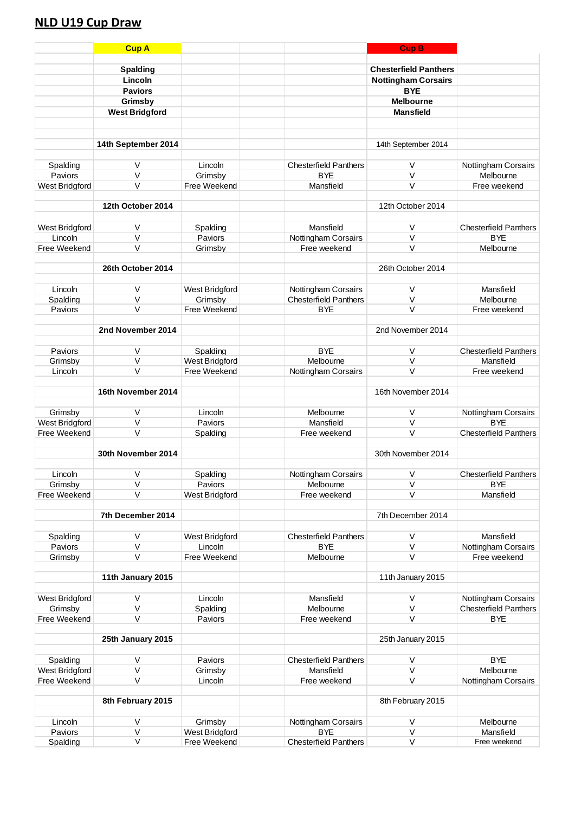### **NLD U19 Cup Draw**

|                           | <b>Cup A</b>          |                                |                                   | <b>Cup B</b>                 |                                   |
|---------------------------|-----------------------|--------------------------------|-----------------------------------|------------------------------|-----------------------------------|
|                           |                       |                                |                                   |                              |                                   |
|                           | <b>Spalding</b>       |                                |                                   | <b>Chesterfield Panthers</b> |                                   |
|                           | Lincoln               |                                |                                   | <b>Nottingham Corsairs</b>   |                                   |
|                           | <b>Paviors</b>        |                                |                                   | <b>BYE</b>                   |                                   |
|                           | Grimsby               |                                |                                   | <b>Melbourne</b>             |                                   |
|                           | <b>West Bridgford</b> |                                |                                   | <b>Mansfield</b>             |                                   |
|                           |                       |                                |                                   |                              |                                   |
|                           |                       |                                |                                   |                              |                                   |
|                           | 14th September 2014   |                                |                                   | 14th September 2014          |                                   |
|                           |                       |                                |                                   |                              |                                   |
| Spalding                  | V                     | Lincoln                        | <b>Chesterfield Panthers</b>      | V                            | Nottingham Corsairs               |
| Paviors                   | $\vee$                | Grimsby                        | <b>BYE</b>                        | $\vee$                       | Melbourne                         |
| West Bridgford            | $\vee$                | Free Weekend                   | Mansfield                         | V                            | Free weekend                      |
|                           |                       |                                |                                   |                              |                                   |
|                           | 12th October 2014     |                                |                                   | 12th October 2014            |                                   |
|                           |                       |                                |                                   |                              |                                   |
| West Bridgford            | V<br>$\vee$           | Spalding                       | Mansfield                         | $\vee$<br>$\vee$             | <b>Chesterfield Panthers</b>      |
| Lincoln                   | $\vee$                | Paviors                        | Nottingham Corsairs               |                              | <b>BYE</b>                        |
| Free Weekend              |                       | Grimsby                        | Free weekend                      | V                            | Melbourne                         |
|                           | 26th October 2014     |                                |                                   | 26th October 2014            |                                   |
|                           |                       |                                |                                   |                              |                                   |
| Lincoln                   | $\vee$                | West Bridgford                 | Nottingham Corsairs               | V                            | Mansfield                         |
| Spalding                  | $\vee$                | Grimsby                        | <b>Chesterfield Panthers</b>      | V                            | Melbourne                         |
| Paviors                   | $\vee$                | Free Weekend                   | <b>BYE</b>                        | V                            | Free weekend                      |
|                           |                       |                                |                                   |                              |                                   |
|                           | 2nd November 2014     |                                |                                   | 2nd November 2014            |                                   |
|                           |                       |                                |                                   |                              |                                   |
| Paviors                   | V                     | Spalding                       | <b>BYE</b>                        | V                            | <b>Chesterfield Panthers</b>      |
| Grimsby                   | $\vee$                | West Bridgford                 | Melbourne                         | $\vee$                       | Mansfield                         |
| Lincoln                   | $\vee$                | Free Weekend                   | Nottingham Corsairs               | $\vee$                       | Free weekend                      |
|                           |                       |                                |                                   |                              |                                   |
|                           | 16th November 2014    |                                |                                   | 16th November 2014           |                                   |
|                           | $\vee$                |                                |                                   |                              |                                   |
| Grimsby<br>West Bridgford | $\vee$                | Lincoln<br>Paviors             | Melbourne<br>Mansfield            | $\vee$<br>$\vee$             | Nottingham Corsairs<br><b>BYE</b> |
| Free Weekend              | $\vee$                | Spalding                       | Free weekend                      | V                            | <b>Chesterfield Panthers</b>      |
|                           |                       |                                |                                   |                              |                                   |
|                           | 30th November 2014    |                                |                                   | 30th November 2014           |                                   |
|                           |                       |                                |                                   |                              |                                   |
| Lincoln                   | V                     | Spalding                       | Nottingham Corsairs               | $\mathsf V$                  | <b>Chesterfield Panthers</b>      |
| Grimsby                   | $\vee$                | Paviors                        | Melbourne                         | V                            | <b>BYE</b>                        |
| Free Weekend              | $\vee$                | West Bridgford                 | Free weekend                      | V                            | Mansfield                         |
|                           |                       |                                |                                   |                              |                                   |
|                           | 7th December 2014     |                                |                                   | 7th December 2014            |                                   |
|                           |                       |                                |                                   |                              |                                   |
| Spalding                  | $\vee$                | West Bridgford                 | <b>Chesterfield Panthers</b>      | $\vee$                       | Mansfield                         |
| Paviors                   | $\vee$                | Lincoln                        | <b>BYE</b>                        | V                            | Nottingham Corsairs               |
| Grimsby                   | $\vee$                | Free Weekend                   | Melbourne                         | $\vee$                       | Free weekend                      |
|                           |                       |                                |                                   |                              |                                   |
|                           | 11th January 2015     |                                |                                   | 11th January 2015            |                                   |
| West Bridgford            | $\vee$                | Lincoln                        | Mansfield                         | V                            | Nottingham Corsairs               |
| Grimsby                   | $\vee$                | Spalding                       | Melbourne                         | V                            | <b>Chesterfield Panthers</b>      |
| Free Weekend              | $\vee$                | Paviors                        | Free weekend                      | V                            | <b>BYE</b>                        |
|                           |                       |                                |                                   |                              |                                   |
|                           | 25th January 2015     |                                |                                   | 25th January 2015            |                                   |
|                           |                       |                                |                                   |                              |                                   |
| Spalding                  | $\vee$                | Paviors                        | <b>Chesterfield Panthers</b>      | $\vee$                       | <b>BYE</b>                        |
| West Bridgford            | $\vee$                | Grimsby                        | Mansfield                         | $\vee$                       | Melbourne                         |
| Free Weekend              | $\vee$                | Lincoln                        | Free weekend                      | $\vee$                       | Nottingham Corsairs               |
|                           |                       |                                |                                   |                              |                                   |
|                           | 8th February 2015     |                                |                                   | 8th February 2015            |                                   |
|                           |                       |                                |                                   |                              |                                   |
| Lincoln<br>Paviors        | $\vee$                | Grimsby                        | Nottingham Corsairs<br><b>BYE</b> | V                            | Melbourne                         |
| Spalding                  | V<br>V                | West Bridgford<br>Free Weekend | <b>Chesterfield Panthers</b>      | V<br>$\sf V$                 | Mansfield<br>Free weekend         |
|                           |                       |                                |                                   |                              |                                   |